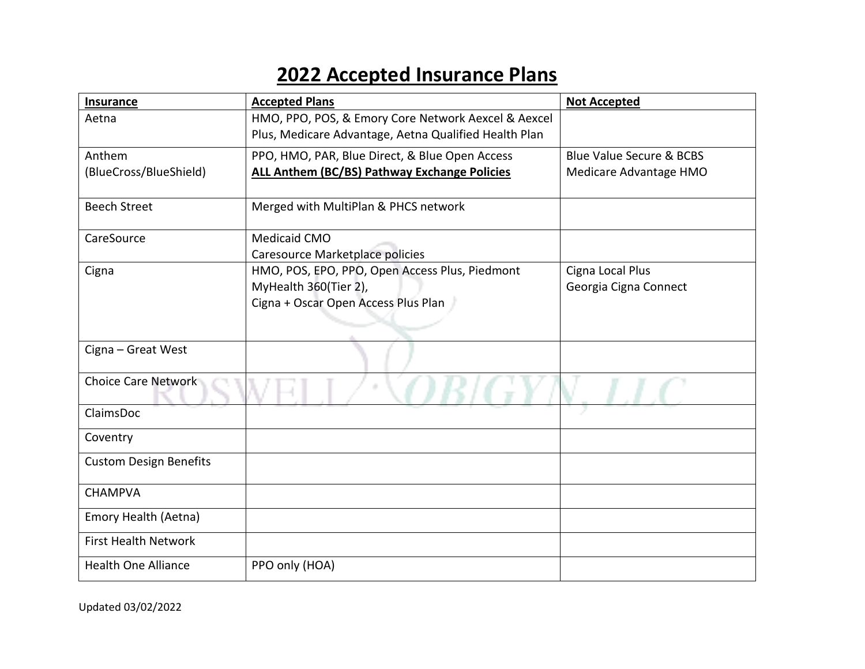## **2022 Accepted Insurance Plans**

| <b>Insurance</b>              | <b>Accepted Plans</b>                                                                                        | <b>Not Accepted</b>                 |
|-------------------------------|--------------------------------------------------------------------------------------------------------------|-------------------------------------|
| Aetna                         | HMO, PPO, POS, & Emory Core Network Aexcel & Aexcel<br>Plus, Medicare Advantage, Aetna Qualified Health Plan |                                     |
| Anthem                        | PPO, HMO, PAR, Blue Direct, & Blue Open Access                                                               | <b>Blue Value Secure &amp; BCBS</b> |
| (BlueCross/BlueShield)        | ALL Anthem (BC/BS) Pathway Exchange Policies                                                                 | Medicare Advantage HMO              |
| <b>Beech Street</b>           | Merged with MultiPlan & PHCS network                                                                         |                                     |
| CareSource                    | Medicaid CMO                                                                                                 |                                     |
|                               | Caresource Marketplace policies                                                                              |                                     |
| Cigna                         | HMO, POS, EPO, PPO, Open Access Plus, Piedmont                                                               | Cigna Local Plus                    |
|                               | MyHealth 360(Tier 2),                                                                                        | Georgia Cigna Connect               |
|                               | Cigna + Oscar Open Access Plus Plan                                                                          |                                     |
|                               |                                                                                                              |                                     |
| Cigna - Great West            |                                                                                                              |                                     |
| Choice Care Network           |                                                                                                              |                                     |
| ClaimsDoc                     |                                                                                                              |                                     |
| Coventry                      |                                                                                                              |                                     |
| <b>Custom Design Benefits</b> |                                                                                                              |                                     |
| <b>CHAMPVA</b>                |                                                                                                              |                                     |
| Emory Health (Aetna)          |                                                                                                              |                                     |
| <b>First Health Network</b>   |                                                                                                              |                                     |
| <b>Health One Alliance</b>    | PPO only (HOA)                                                                                               |                                     |

Updated 03/02/2022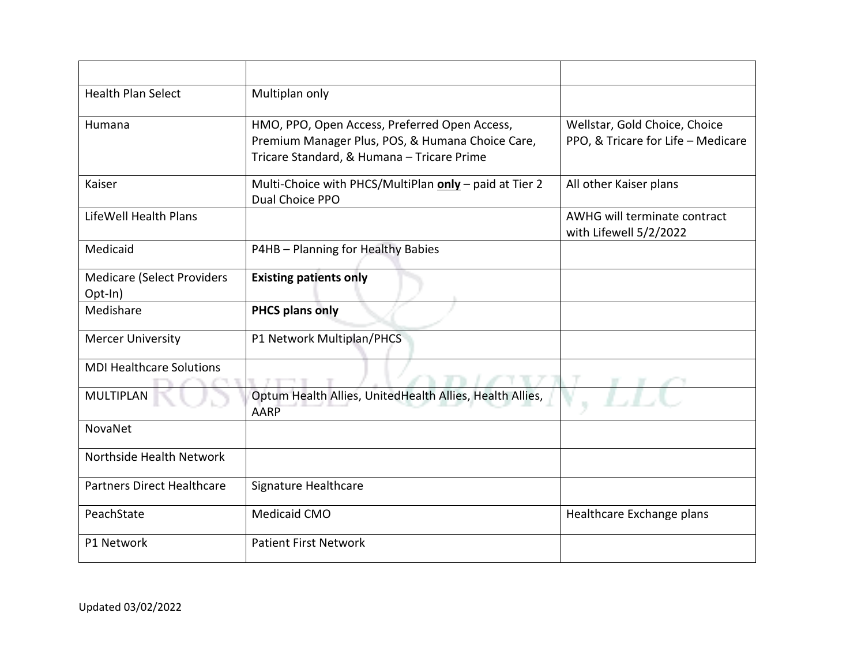| <b>Health Plan Select</b>                    | Multiplan only                                                                                                                                  |                                                                     |
|----------------------------------------------|-------------------------------------------------------------------------------------------------------------------------------------------------|---------------------------------------------------------------------|
| Humana                                       | HMO, PPO, Open Access, Preferred Open Access,<br>Premium Manager Plus, POS, & Humana Choice Care,<br>Tricare Standard, & Humana - Tricare Prime | Wellstar, Gold Choice, Choice<br>PPO, & Tricare for Life - Medicare |
| Kaiser                                       | Multi-Choice with PHCS/MultiPlan only - paid at Tier 2<br>Dual Choice PPO                                                                       | All other Kaiser plans                                              |
| LifeWell Health Plans                        |                                                                                                                                                 | AWHG will terminate contract<br>with Lifewell 5/2/2022              |
| Medicaid                                     | P4HB - Planning for Healthy Babies                                                                                                              |                                                                     |
| <b>Medicare (Select Providers</b><br>Opt-In) | <b>Existing patients only</b>                                                                                                                   |                                                                     |
| Medishare                                    | <b>PHCS plans only</b>                                                                                                                          |                                                                     |
| <b>Mercer University</b>                     | P1 Network Multiplan/PHCS                                                                                                                       |                                                                     |
| <b>MDI Healthcare Solutions</b>              |                                                                                                                                                 |                                                                     |
| <b>MULTIPLAN</b>                             | Optum Health Allies, UnitedHealth Allies, Health Allies,<br>AARP                                                                                |                                                                     |
| NovaNet                                      |                                                                                                                                                 |                                                                     |
| Northside Health Network                     |                                                                                                                                                 |                                                                     |
| <b>Partners Direct Healthcare</b>            | Signature Healthcare                                                                                                                            |                                                                     |
| PeachState                                   | Medicaid CMO                                                                                                                                    | Healthcare Exchange plans                                           |
| P1 Network                                   | <b>Patient First Network</b>                                                                                                                    |                                                                     |